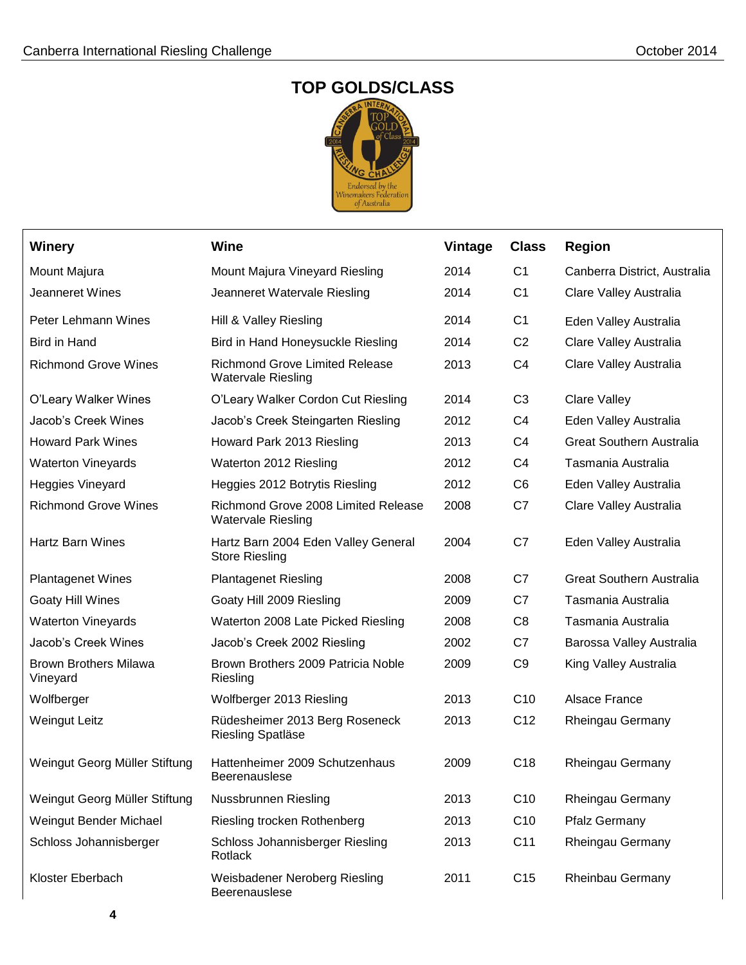## **TOP GOLDS/CLASS**



| <b>Winery</b>                            | <b>Wine</b>                                                        | <b>Vintage</b> | <b>Class</b>    | <b>Region</b>                   |
|------------------------------------------|--------------------------------------------------------------------|----------------|-----------------|---------------------------------|
| Mount Majura                             | Mount Majura Vineyard Riesling                                     | 2014           | C <sub>1</sub>  | Canberra District, Australia    |
| Jeanneret Wines                          | Jeanneret Watervale Riesling                                       | 2014           | C <sub>1</sub>  | Clare Valley Australia          |
| Peter Lehmann Wines                      | Hill & Valley Riesling                                             | 2014           | C <sub>1</sub>  | Eden Valley Australia           |
| <b>Bird in Hand</b>                      | Bird in Hand Honeysuckle Riesling                                  | 2014           | C <sub>2</sub>  | Clare Valley Australia          |
| <b>Richmond Grove Wines</b>              | <b>Richmond Grove Limited Release</b><br><b>Watervale Riesling</b> | 2013           | C <sub>4</sub>  | Clare Valley Australia          |
| O'Leary Walker Wines                     | O'Leary Walker Cordon Cut Riesling                                 | 2014           | C <sub>3</sub>  | <b>Clare Valley</b>             |
| Jacob's Creek Wines                      | Jacob's Creek Steingarten Riesling                                 | 2012           | C <sub>4</sub>  | Eden Valley Australia           |
| <b>Howard Park Wines</b>                 | Howard Park 2013 Riesling                                          | 2013           | C <sub>4</sub>  | <b>Great Southern Australia</b> |
| <b>Waterton Vineyards</b>                | Waterton 2012 Riesling                                             | 2012           | C <sub>4</sub>  | Tasmania Australia              |
| <b>Heggies Vineyard</b>                  | Heggies 2012 Botrytis Riesling                                     | 2012           | C <sub>6</sub>  | Eden Valley Australia           |
| <b>Richmond Grove Wines</b>              | Richmond Grove 2008 Limited Release<br><b>Watervale Riesling</b>   | 2008           | C7              | Clare Valley Australia          |
| <b>Hartz Barn Wines</b>                  | Hartz Barn 2004 Eden Valley General<br><b>Store Riesling</b>       | 2004           | C7              | Eden Valley Australia           |
| <b>Plantagenet Wines</b>                 | <b>Plantagenet Riesling</b>                                        | 2008           | C7              | <b>Great Southern Australia</b> |
| Goaty Hill Wines                         | Goaty Hill 2009 Riesling                                           | 2009           | C7              | Tasmania Australia              |
| <b>Waterton Vineyards</b>                | Waterton 2008 Late Picked Riesling                                 | 2008           | C <sub>8</sub>  | Tasmania Australia              |
| Jacob's Creek Wines                      | Jacob's Creek 2002 Riesling                                        | 2002           | C7              | Barossa Valley Australia        |
| <b>Brown Brothers Milawa</b><br>Vineyard | Brown Brothers 2009 Patricia Noble<br>Riesling                     | 2009           | C <sub>9</sub>  | King Valley Australia           |
| Wolfberger                               | Wolfberger 2013 Riesling                                           | 2013           | C <sub>10</sub> | Alsace France                   |
| <b>Weingut Leitz</b>                     | Rüdesheimer 2013 Berg Roseneck<br>Riesling Spatläse                | 2013           | C <sub>12</sub> | Rheingau Germany                |
| Weingut Georg Müller Stiftung            | Hattenheimer 2009 Schutzenhaus<br>Beerenauslese                    | 2009           | C <sub>18</sub> | Rheingau Germany                |
| Weingut Georg Müller Stiftung            | Nussbrunnen Riesling                                               | 2013           | C <sub>10</sub> | Rheingau Germany                |
| Weingut Bender Michael                   | Riesling trocken Rothenberg                                        | 2013           | C <sub>10</sub> | <b>Pfalz Germany</b>            |
| Schloss Johannisberger                   | Schloss Johannisberger Riesling<br><b>Rotlack</b>                  | 2013           | C11             | Rheingau Germany                |
| Kloster Eberbach                         | Weisbadener Neroberg Riesling<br>Beerenauslese                     | 2011           | C <sub>15</sub> | Rheinbau Germany                |